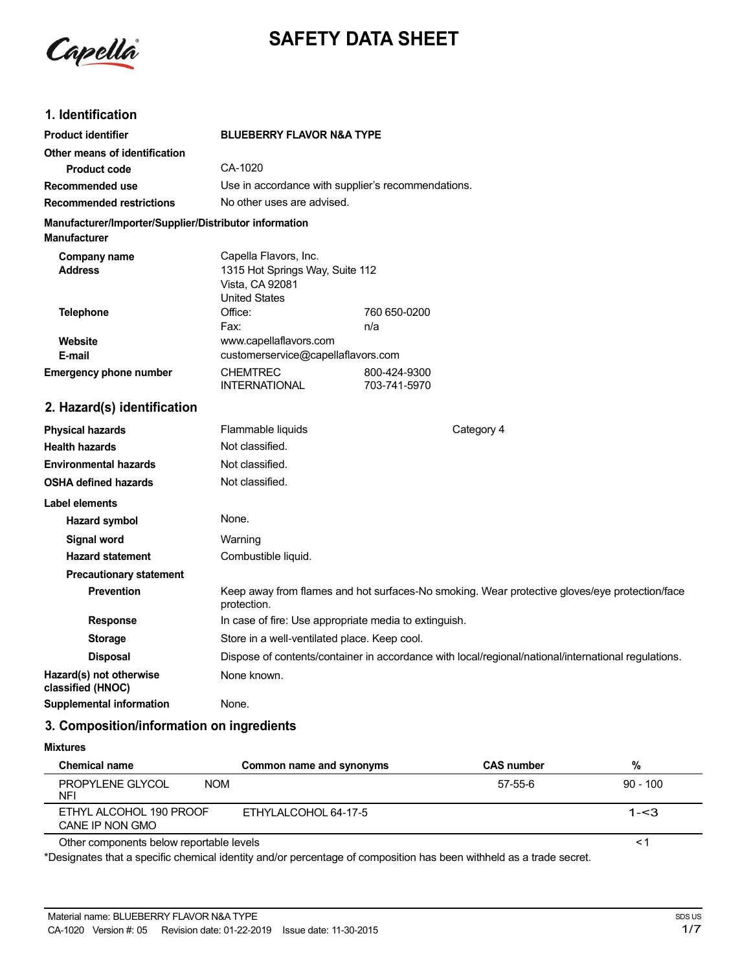

## **SAFETY DATA SHEET**

## **1. Identification**

| <b>Product identifier</b>                                                     | <b>BLUEBERRY FLAVOR N&amp;A TYPE</b>                                                                |                              |                                                                                                     |
|-------------------------------------------------------------------------------|-----------------------------------------------------------------------------------------------------|------------------------------|-----------------------------------------------------------------------------------------------------|
| Other means of identification                                                 |                                                                                                     |                              |                                                                                                     |
| <b>Product code</b>                                                           | CA-1020                                                                                             |                              |                                                                                                     |
| Recommended use                                                               | Use in accordance with supplier's recommendations.                                                  |                              |                                                                                                     |
| <b>Recommended restrictions</b>                                               | No other uses are advised.                                                                          |                              |                                                                                                     |
| Manufacturer/Importer/Supplier/Distributor information<br><b>Manufacturer</b> |                                                                                                     |                              |                                                                                                     |
| <b>Company name</b><br><b>Address</b>                                         | Capella Flavors, Inc.<br>1315 Hot Springs Way, Suite 112<br>Vista, CA 92081<br><b>United States</b> |                              |                                                                                                     |
| <b>Telephone</b>                                                              | Office:                                                                                             | 760 650-0200                 |                                                                                                     |
|                                                                               | Fax:                                                                                                | n/a                          |                                                                                                     |
| Website<br>E-mail                                                             | www.capellaflavors.com<br>customerservice@capellaflavors.com                                        |                              |                                                                                                     |
| <b>Emergency phone number</b>                                                 | <b>CHEMTREC</b><br><b>INTERNATIONAL</b>                                                             | 800-424-9300<br>703-741-5970 |                                                                                                     |
| 2. Hazard(s) identification                                                   |                                                                                                     |                              |                                                                                                     |
| <b>Physical hazards</b>                                                       | Flammable liquids                                                                                   |                              | Category 4                                                                                          |
| <b>Health hazards</b>                                                         | Not classified.                                                                                     |                              |                                                                                                     |
| <b>Environmental hazards</b>                                                  | Not classified.                                                                                     |                              |                                                                                                     |
| <b>OSHA defined hazards</b>                                                   | Not classified.                                                                                     |                              |                                                                                                     |
| Label elements                                                                |                                                                                                     |                              |                                                                                                     |
| Hazard symbol                                                                 | None.                                                                                               |                              |                                                                                                     |
| Signal word                                                                   | Warning                                                                                             |                              |                                                                                                     |
| <b>Hazard statement</b>                                                       | Combustible liquid.                                                                                 |                              |                                                                                                     |
| <b>Precautionary statement</b>                                                |                                                                                                     |                              |                                                                                                     |
| <b>Prevention</b>                                                             | protection.                                                                                         |                              | Keep away from flames and hot surfaces-No smoking. Wear protective gloves/eye protection/face       |
| <b>Response</b>                                                               | In case of fire: Use appropriate media to extinguish.                                               |                              |                                                                                                     |
| <b>Storage</b>                                                                | Store in a well-ventilated place. Keep cool.                                                        |                              |                                                                                                     |
| <b>Disposal</b>                                                               |                                                                                                     |                              | Dispose of contents/container in accordance with local/regional/national/international regulations. |
| Hazard(s) not otherwise<br>classified (HNOC)                                  | None known.                                                                                         |                              |                                                                                                     |

# **Supplemental information** None.

## **3. Composition/information on ingredients**

#### **Mixtures**

| <b>Chemical name</b>                       | Common name and synonyms | <b>CAS number</b> | %          |  |
|--------------------------------------------|--------------------------|-------------------|------------|--|
| PROPYLENE GLYCOL<br><b>NOM</b><br>NFI      |                          | 57-55-6           | $90 - 100$ |  |
| ETHYL ALCOHOL 190 PROOF<br>CANE IP NON GMO | ETHYLALCOHOL 64-17-5     |                   | $1 - 3$    |  |
| Other components below reportable levels   |                          |                   | <′         |  |

Other components below reportable levels

\*Designates that a specific chemical identity and/or percentage of composition has been withheld as a trade secret.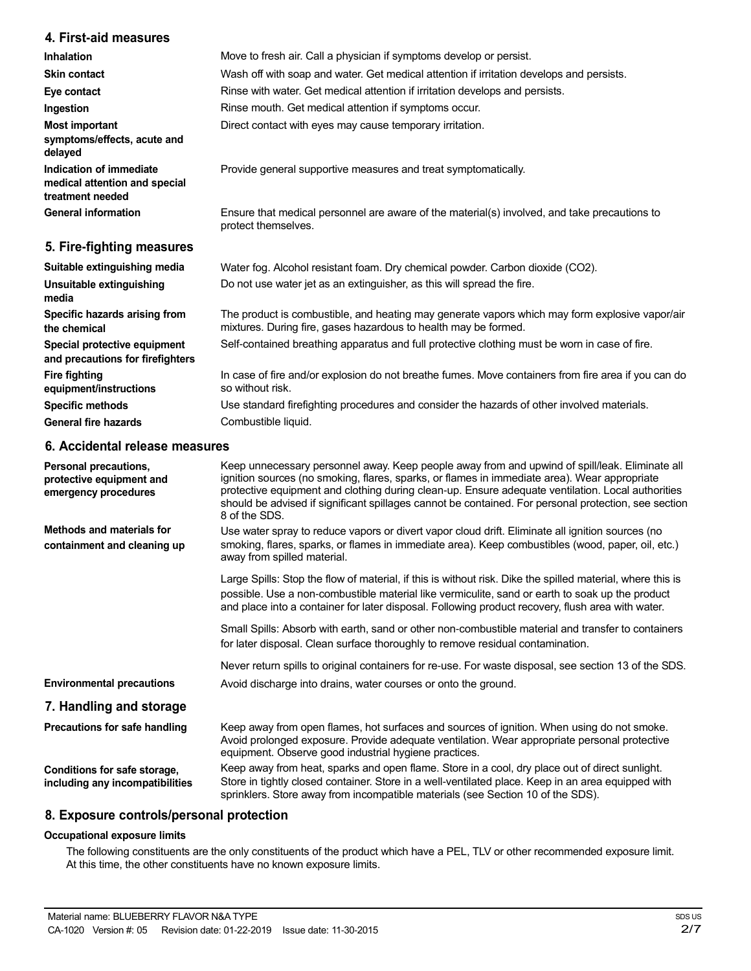## **4. First-aid measures**

| <b>Inhalation</b>                                                            | Move to fresh air. Call a physician if symptoms develop or persist.                                                                                               |
|------------------------------------------------------------------------------|-------------------------------------------------------------------------------------------------------------------------------------------------------------------|
| <b>Skin contact</b>                                                          | Wash off with soap and water. Get medical attention if irritation develops and persists.                                                                          |
| Eye contact                                                                  | Rinse with water. Get medical attention if irritation develops and persists.                                                                                      |
| Ingestion                                                                    | Rinse mouth. Get medical attention if symptoms occur.                                                                                                             |
| <b>Most important</b><br>symptoms/effects, acute and<br>delayed              | Direct contact with eyes may cause temporary irritation.                                                                                                          |
| Indication of immediate<br>medical attention and special<br>treatment needed | Provide general supportive measures and treat symptomatically.                                                                                                    |
| <b>General information</b>                                                   | Ensure that medical personnel are aware of the material(s) involved, and take precautions to<br>protect themselves.                                               |
| 5. Fire-fighting measures                                                    |                                                                                                                                                                   |
| Suitable extinguishing media                                                 | Water fog. Alcohol resistant foam. Dry chemical powder. Carbon dioxide (CO2).                                                                                     |
| Unsuitable extinguishing<br>media                                            | Do not use water jet as an extinguisher, as this will spread the fire.                                                                                            |
| Specific hazards arising from<br>the chemical                                | The product is combustible, and heating may generate vapors which may form explosive vapor/air<br>mixtures. During fire, gases hazardous to health may be formed. |
| Special protective equipment<br>and precautions for firefighters             | Self-contained breathing apparatus and full protective clothing must be worn in case of fire.                                                                     |
| <b>Fire fighting</b><br>equipment/instructions                               | In case of fire and/or explosion do not breathe fumes. Move containers from fire area if you can do<br>so without risk.                                           |

Use standard firefighting procedures and consider the hazards of other involved materials. Combustible liquid.

## **6. Accidental release measures**

**Specific methods General fire hazards**

| Personal precautions,<br>protective equipment and<br>emergency procedures | Keep unnecessary personnel away. Keep people away from and upwind of spill/leak. Eliminate all<br>ignition sources (no smoking, flares, sparks, or flames in immediate area). Wear appropriate<br>protective equipment and clothing during clean-up. Ensure adequate ventilation. Local authorities<br>should be advised if significant spillages cannot be contained. For personal protection, see section<br>8 of the SDS. |
|---------------------------------------------------------------------------|------------------------------------------------------------------------------------------------------------------------------------------------------------------------------------------------------------------------------------------------------------------------------------------------------------------------------------------------------------------------------------------------------------------------------|
| <b>Methods and materials for</b><br>containment and cleaning up           | Use water spray to reduce vapors or divert vapor cloud drift. Eliminate all ignition sources (no<br>smoking, flares, sparks, or flames in immediate area). Keep combustibles (wood, paper, oil, etc.)<br>away from spilled material.                                                                                                                                                                                         |
|                                                                           | Large Spills: Stop the flow of material, if this is without risk. Dike the spilled material, where this is<br>possible. Use a non-combustible material like vermiculite, sand or earth to soak up the product<br>and place into a container for later disposal. Following product recovery, flush area with water.                                                                                                           |
|                                                                           | Small Spills: Absorb with earth, sand or other non-combustible material and transfer to containers<br>for later disposal. Clean surface thoroughly to remove residual contamination.                                                                                                                                                                                                                                         |
|                                                                           | Never return spills to original containers for re-use. For waste disposal, see section 13 of the SDS.                                                                                                                                                                                                                                                                                                                        |
| <b>Environmental precautions</b>                                          | Avoid discharge into drains, water courses or onto the ground.                                                                                                                                                                                                                                                                                                                                                               |
| 7. Handling and storage                                                   |                                                                                                                                                                                                                                                                                                                                                                                                                              |
| Precautions for safe handling                                             | Keep away from open flames, hot surfaces and sources of ignition. When using do not smoke.<br>Avoid prolonged exposure. Provide adequate ventilation. Wear appropriate personal protective<br>equipment. Observe good industrial hygiene practices.                                                                                                                                                                          |
| Conditions for safe storage,<br>including any incompatibilities           | Keep away from heat, sparks and open flame. Store in a cool, dry place out of direct sunlight.<br>Store in tightly closed container. Store in a well-ventilated place. Keep in an area equipped with<br>sprinklers. Store away from incompatible materials (see Section 10 of the SDS).                                                                                                                                      |

#### **8. Exposure controls/personal protection**

#### **Occupational exposure limits**

The following constituents are the only constituents of the product which have a PEL, TLV or other recommended exposure limit. At this time, the other constituents have no known exposure limits.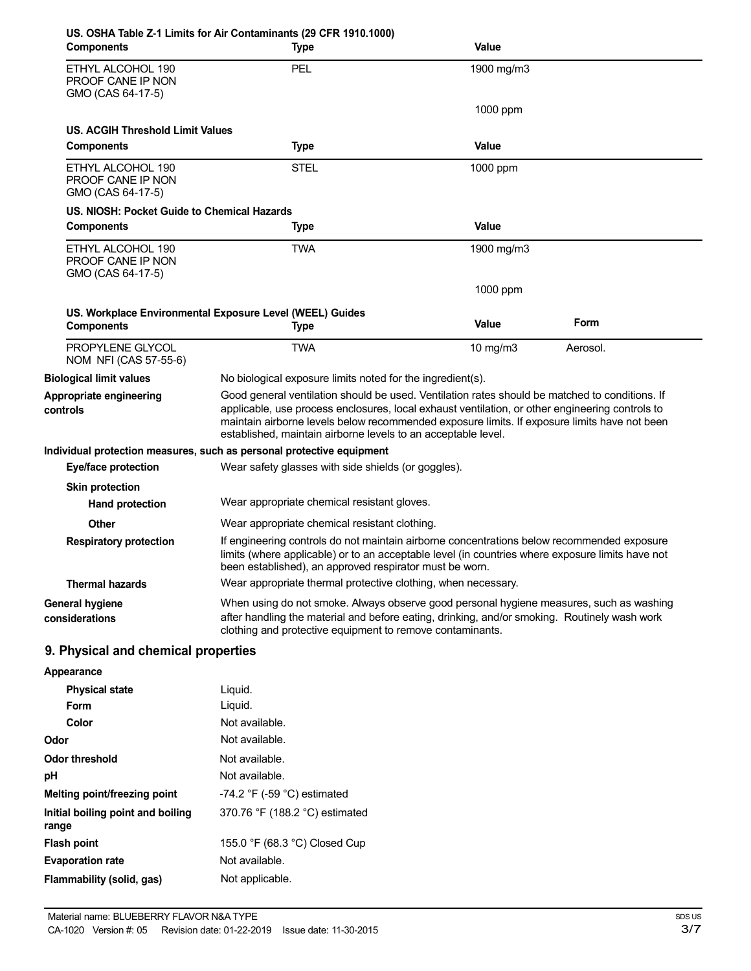|                                                                    | US. OSHA Table Z-1 Limits for Air Contaminants (29 CFR 1910.1000)                                                                                                                                                                                                                                                                                                  |              |          |
|--------------------------------------------------------------------|--------------------------------------------------------------------------------------------------------------------------------------------------------------------------------------------------------------------------------------------------------------------------------------------------------------------------------------------------------------------|--------------|----------|
| <b>Components</b>                                                  | <b>Type</b>                                                                                                                                                                                                                                                                                                                                                        | Value        |          |
| ETHYL ALCOHOL 190<br><b>PROOF CANE IP NON</b><br>GMO (CAS 64-17-5) | <b>PEL</b>                                                                                                                                                                                                                                                                                                                                                         | 1900 mg/m3   |          |
|                                                                    |                                                                                                                                                                                                                                                                                                                                                                    | 1000 ppm     |          |
| <b>US. ACGIH Threshold Limit Values</b><br><b>Components</b>       | <b>Type</b>                                                                                                                                                                                                                                                                                                                                                        | <b>Value</b> |          |
| ETHYL ALCOHOL 190<br><b>PROOF CANE IP NON</b><br>GMO (CAS 64-17-5) | <b>STEL</b>                                                                                                                                                                                                                                                                                                                                                        | 1000 ppm     |          |
| US. NIOSH: Pocket Guide to Chemical Hazards                        |                                                                                                                                                                                                                                                                                                                                                                    |              |          |
| <b>Components</b>                                                  | Type                                                                                                                                                                                                                                                                                                                                                               | Value        |          |
| ETHYL ALCOHOL 190<br>PROOF CANE IP NON<br>GMO (CAS 64-17-5)        | <b>TWA</b>                                                                                                                                                                                                                                                                                                                                                         | 1900 mg/m3   |          |
|                                                                    |                                                                                                                                                                                                                                                                                                                                                                    | 1000 ppm     |          |
| <b>Components</b>                                                  | US. Workplace Environmental Exposure Level (WEEL) Guides<br>Type                                                                                                                                                                                                                                                                                                   | Value        | Form     |
| PROPYLENE GLYCOL<br>NOM NFI (CAS 57-55-6)                          | <b>TWA</b>                                                                                                                                                                                                                                                                                                                                                         | 10 mg/m3     | Aerosol. |
| <b>Biological limit values</b>                                     | No biological exposure limits noted for the ingredient(s).                                                                                                                                                                                                                                                                                                         |              |          |
| Appropriate engineering<br>controls                                | Good general ventilation should be used. Ventilation rates should be matched to conditions. If<br>applicable, use process enclosures, local exhaust ventilation, or other engineering controls to<br>maintain airborne levels below recommended exposure limits. If exposure limits have not been<br>established, maintain airborne levels to an acceptable level. |              |          |
|                                                                    | Individual protection measures, such as personal protective equipment                                                                                                                                                                                                                                                                                              |              |          |
| Eye/face protection                                                | Wear safety glasses with side shields (or goggles).                                                                                                                                                                                                                                                                                                                |              |          |
| <b>Skin protection</b>                                             |                                                                                                                                                                                                                                                                                                                                                                    |              |          |
| <b>Hand protection</b>                                             | Wear appropriate chemical resistant gloves.                                                                                                                                                                                                                                                                                                                        |              |          |
| <b>Other</b>                                                       | Wear appropriate chemical resistant clothing.                                                                                                                                                                                                                                                                                                                      |              |          |
| <b>Respiratory protection</b>                                      | If engineering controls do not maintain airborne concentrations below recommended exposure<br>limits (where applicable) or to an acceptable level (in countries where exposure limits have not<br>been established), an approved respirator must be worn.                                                                                                          |              |          |
| <b>Thermal hazards</b>                                             | Wear appropriate thermal protective clothing, when necessary.                                                                                                                                                                                                                                                                                                      |              |          |
| <b>General hygiene</b><br>considerations                           | When using do not smoke. Always observe good personal hygiene measures, such as washing<br>after handling the material and before eating, drinking, and/or smoking. Routinely wash work<br>clothing and protective equipment to remove contaminants.                                                                                                               |              |          |
| 9. Physical and chemical properties                                |                                                                                                                                                                                                                                                                                                                                                                    |              |          |
| Appearance                                                         |                                                                                                                                                                                                                                                                                                                                                                    |              |          |
| <b>Physical state</b>                                              | Liquid.                                                                                                                                                                                                                                                                                                                                                            |              |          |
| <b>Form</b>                                                        | Liquid.                                                                                                                                                                                                                                                                                                                                                            |              |          |
| Color                                                              | Not available.                                                                                                                                                                                                                                                                                                                                                     |              |          |
| Odor                                                               | Not available.                                                                                                                                                                                                                                                                                                                                                     |              |          |
| <b>Odor threshold</b>                                              | Not available.                                                                                                                                                                                                                                                                                                                                                     |              |          |
| pH                                                                 | Not available.                                                                                                                                                                                                                                                                                                                                                     |              |          |
| Melting point/freezing point                                       | -74.2 $\degree$ F (-59 $\degree$ C) estimated                                                                                                                                                                                                                                                                                                                      |              |          |
| Initial boiling point and boiling<br>range                         | 370.76 °F (188.2 °C) estimated                                                                                                                                                                                                                                                                                                                                     |              |          |
| <b>Flash point</b>                                                 | 155.0 °F (68.3 °C) Closed Cup                                                                                                                                                                                                                                                                                                                                      |              |          |
| <b>Evaporation rate</b>                                            | Not available.                                                                                                                                                                                                                                                                                                                                                     |              |          |

**Flammability (solid, gas)** Not applicable.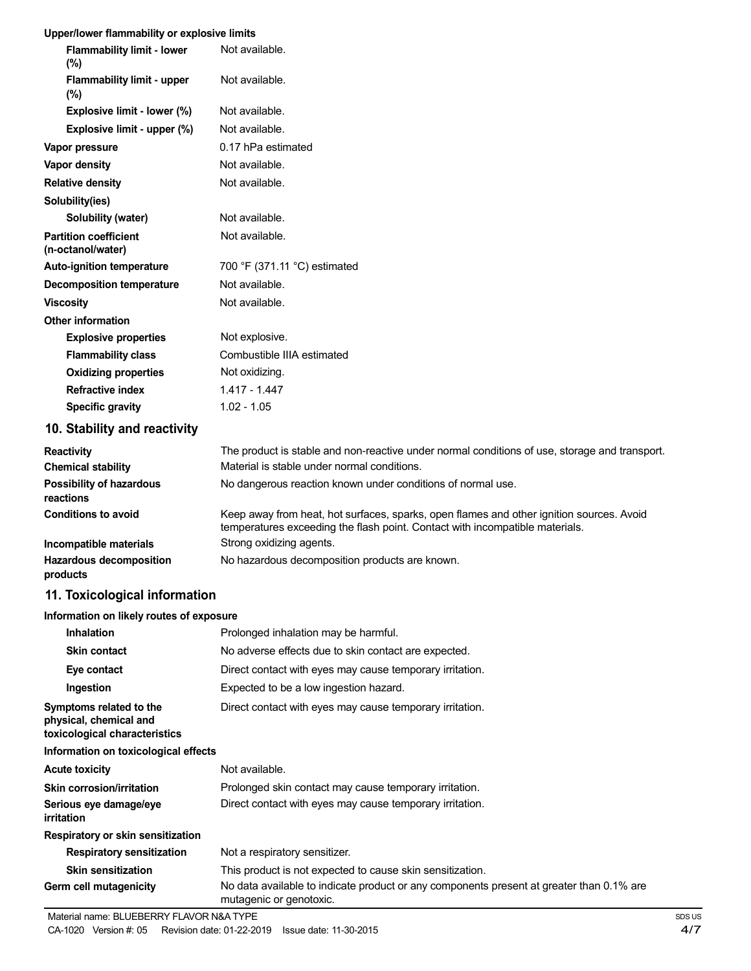#### **Upper/lower flammability or explosive limits**

| <b>Flammability limit - lower</b><br>$(\%)$       | Not available.                                                                                                                                                           |
|---------------------------------------------------|--------------------------------------------------------------------------------------------------------------------------------------------------------------------------|
| <b>Flammability limit - upper</b><br>(%)          | Not available.                                                                                                                                                           |
| Explosive limit - lower (%)                       | Not available.                                                                                                                                                           |
| Explosive limit - upper (%)                       | Not available.                                                                                                                                                           |
| Vapor pressure                                    | 0.17 hPa estimated                                                                                                                                                       |
| Vapor density                                     | Not available.                                                                                                                                                           |
| <b>Relative density</b>                           | Not available.                                                                                                                                                           |
| Solubility(ies)                                   |                                                                                                                                                                          |
| Solubility (water)                                | Not available.                                                                                                                                                           |
| <b>Partition coefficient</b><br>(n-octanol/water) | Not available.                                                                                                                                                           |
| <b>Auto-ignition temperature</b>                  | 700 °F (371.11 °C) estimated                                                                                                                                             |
| <b>Decomposition temperature</b>                  | Not available.                                                                                                                                                           |
| <b>Viscosity</b>                                  | Not available.                                                                                                                                                           |
| <b>Other information</b>                          |                                                                                                                                                                          |
| <b>Explosive properties</b>                       | Not explosive.                                                                                                                                                           |
| <b>Flammability class</b>                         | Combustible IIIA estimated                                                                                                                                               |
| <b>Oxidizing properties</b>                       | Not oxidizing.                                                                                                                                                           |
| <b>Refractive index</b>                           | $1.417 - 1.447$                                                                                                                                                          |
| <b>Specific gravity</b>                           | $1.02 - 1.05$                                                                                                                                                            |
| 10. Stability and reactivity                      |                                                                                                                                                                          |
| <b>Reactivity</b>                                 | The product is stable and non-reactive under normal conditions of use, storage and transport.                                                                            |
| <b>Chemical stability</b>                         | Material is stable under normal conditions.                                                                                                                              |
| <b>Possibility of hazardous</b><br>reactions      | No dangerous reaction known under conditions of normal use.                                                                                                              |
| <b>Conditions to avoid</b>                        | Keep away from heat, hot surfaces, sparks, open flames and other ignition sources. Avoid<br>temperatures exceeding the flash point. Contact with incompatible materials. |

**Incompatible materials Hazardous decomposition** Strong oxidizing agents. No hazardous decomposition products are known. **products**

## **11. Toxicological information**

#### **Information on likely routes of exposure**

| <b>Inhalation</b>                                                                  | Prolonged inhalation may be harmful.                                                                                |  |  |
|------------------------------------------------------------------------------------|---------------------------------------------------------------------------------------------------------------------|--|--|
| <b>Skin contact</b>                                                                | No adverse effects due to skin contact are expected.                                                                |  |  |
| Eye contact                                                                        | Direct contact with eyes may cause temporary irritation.                                                            |  |  |
| Ingestion                                                                          | Expected to be a low ingestion hazard.                                                                              |  |  |
| Symptoms related to the<br>physical, chemical and<br>toxicological characteristics | Direct contact with eyes may cause temporary irritation.                                                            |  |  |
| Information on toxicological effects                                               |                                                                                                                     |  |  |
| <b>Acute toxicity</b>                                                              | Not available.                                                                                                      |  |  |
| Skin corrosion/irritation                                                          | Prolonged skin contact may cause temporary irritation.                                                              |  |  |
| Serious eye damage/eye<br>irritation                                               | Direct contact with eyes may cause temporary irritation.                                                            |  |  |
| Respiratory or skin sensitization                                                  |                                                                                                                     |  |  |
| <b>Respiratory sensitization</b>                                                   | Not a respiratory sensitizer.                                                                                       |  |  |
| <b>Skin sensitization</b>                                                          | This product is not expected to cause skin sensitization.                                                           |  |  |
| Germ cell mutagenicity                                                             | No data available to indicate product or any components present at greater than 0.1% are<br>mutagenic or genotoxic. |  |  |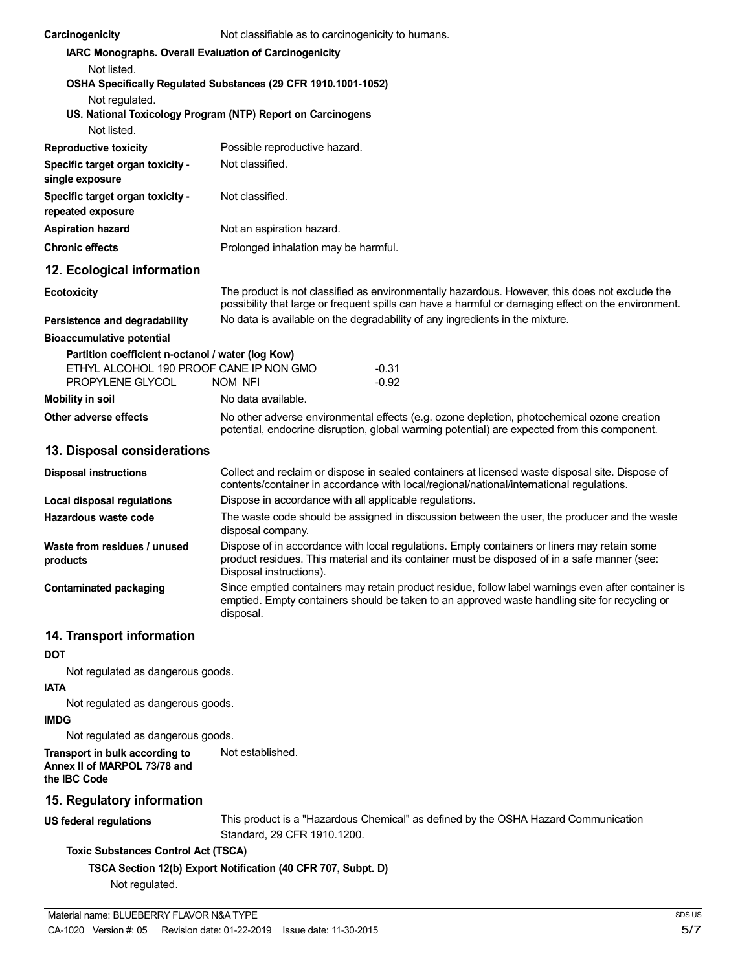| Carcinogenicity                                                | Not classifiable as to carcinogenicity to humans.                                                                                                                                                                      |                                                                                                                                                                                                       |  |  |  |
|----------------------------------------------------------------|------------------------------------------------------------------------------------------------------------------------------------------------------------------------------------------------------------------------|-------------------------------------------------------------------------------------------------------------------------------------------------------------------------------------------------------|--|--|--|
|                                                                |                                                                                                                                                                                                                        | <b>IARC Monographs. Overall Evaluation of Carcinogenicity</b>                                                                                                                                         |  |  |  |
| Not listed.                                                    |                                                                                                                                                                                                                        |                                                                                                                                                                                                       |  |  |  |
| OSHA Specifically Regulated Substances (29 CFR 1910.1001-1052) |                                                                                                                                                                                                                        |                                                                                                                                                                                                       |  |  |  |
| Not regulated.                                                 |                                                                                                                                                                                                                        |                                                                                                                                                                                                       |  |  |  |
| US. National Toxicology Program (NTP) Report on Carcinogens    |                                                                                                                                                                                                                        |                                                                                                                                                                                                       |  |  |  |
| Not listed.                                                    |                                                                                                                                                                                                                        |                                                                                                                                                                                                       |  |  |  |
| <b>Reproductive toxicity</b>                                   | Possible reproductive hazard.                                                                                                                                                                                          |                                                                                                                                                                                                       |  |  |  |
| Specific target organ toxicity -<br>single exposure            | Not classified.                                                                                                                                                                                                        |                                                                                                                                                                                                       |  |  |  |
| Specific target organ toxicity -<br>repeated exposure          | Not classified.                                                                                                                                                                                                        |                                                                                                                                                                                                       |  |  |  |
| <b>Aspiration hazard</b>                                       | Not an aspiration hazard.                                                                                                                                                                                              |                                                                                                                                                                                                       |  |  |  |
| <b>Chronic effects</b>                                         | Prolonged inhalation may be harmful.                                                                                                                                                                                   |                                                                                                                                                                                                       |  |  |  |
| 12. Ecological information                                     |                                                                                                                                                                                                                        |                                                                                                                                                                                                       |  |  |  |
| <b>Ecotoxicity</b>                                             |                                                                                                                                                                                                                        | The product is not classified as environmentally hazardous. However, this does not exclude the<br>possibility that large or frequent spills can have a harmful or damaging effect on the environment. |  |  |  |
| Persistence and degradability                                  |                                                                                                                                                                                                                        | No data is available on the degradability of any ingredients in the mixture.                                                                                                                          |  |  |  |
| <b>Bioaccumulative potential</b>                               |                                                                                                                                                                                                                        |                                                                                                                                                                                                       |  |  |  |
| Partition coefficient n-octanol / water (log Kow)              |                                                                                                                                                                                                                        |                                                                                                                                                                                                       |  |  |  |
| ETHYL ALCOHOL 190 PROOF CANE IP NON GMO<br>PROPYLENE GLYCOL    | NOM NFI                                                                                                                                                                                                                | $-0.31$<br>$-0.92$                                                                                                                                                                                    |  |  |  |
| <b>Mobility in soil</b>                                        | No data available.                                                                                                                                                                                                     |                                                                                                                                                                                                       |  |  |  |
| Other adverse effects                                          |                                                                                                                                                                                                                        | No other adverse environmental effects (e.g. ozone depletion, photochemical ozone creation<br>potential, endocrine disruption, global warming potential) are expected from this component.            |  |  |  |
| 13. Disposal considerations                                    |                                                                                                                                                                                                                        |                                                                                                                                                                                                       |  |  |  |
| <b>Disposal instructions</b>                                   |                                                                                                                                                                                                                        | Collect and reclaim or dispose in sealed containers at licensed waste disposal site. Dispose of<br>contents/container in accordance with local/regional/national/international regulations.           |  |  |  |
| <b>Local disposal regulations</b>                              |                                                                                                                                                                                                                        | Dispose in accordance with all applicable regulations.                                                                                                                                                |  |  |  |
| Hazardous waste code                                           | disposal company.                                                                                                                                                                                                      | The waste code should be assigned in discussion between the user, the producer and the waste                                                                                                          |  |  |  |
| Waste from residues / unused<br>products                       | Dispose of in accordance with local regulations. Empty containers or liners may retain some<br>product residues. This material and its container must be disposed of in a safe manner (see:<br>Disposal instructions). |                                                                                                                                                                                                       |  |  |  |
| <b>Contaminated packaging</b>                                  | disposal.                                                                                                                                                                                                              | Since emptied containers may retain product residue, follow label warnings even after container is<br>emptied. Empty containers should be taken to an approved waste handling site for recycling or   |  |  |  |
| 14. Transport information                                      |                                                                                                                                                                                                                        |                                                                                                                                                                                                       |  |  |  |
| DOT                                                            |                                                                                                                                                                                                                        |                                                                                                                                                                                                       |  |  |  |
| Not regulated as dangerous goods.                              |                                                                                                                                                                                                                        |                                                                                                                                                                                                       |  |  |  |
| iata                                                           |                                                                                                                                                                                                                        |                                                                                                                                                                                                       |  |  |  |
| Not regulated as dangerous goods.                              |                                                                                                                                                                                                                        |                                                                                                                                                                                                       |  |  |  |
| <b>IMDG</b>                                                    |                                                                                                                                                                                                                        |                                                                                                                                                                                                       |  |  |  |
| Not regulated as dangerous goods.                              |                                                                                                                                                                                                                        |                                                                                                                                                                                                       |  |  |  |
| Transport in bulk according to                                 | Not established.                                                                                                                                                                                                       |                                                                                                                                                                                                       |  |  |  |

**Annex II of MARPOL 73/78 and the IBC Code**

## **15. Regulatory information**

**US federal regulations**

This product is a "Hazardous Chemical" as defined by the OSHA Hazard Communication Standard, 29 CFR 1910.1200.

#### **Toxic Substances Control Act (TSCA)**

**TSCA Section 12(b) Export Notification (40 CFR 707, Subpt. D)**

Not regulated.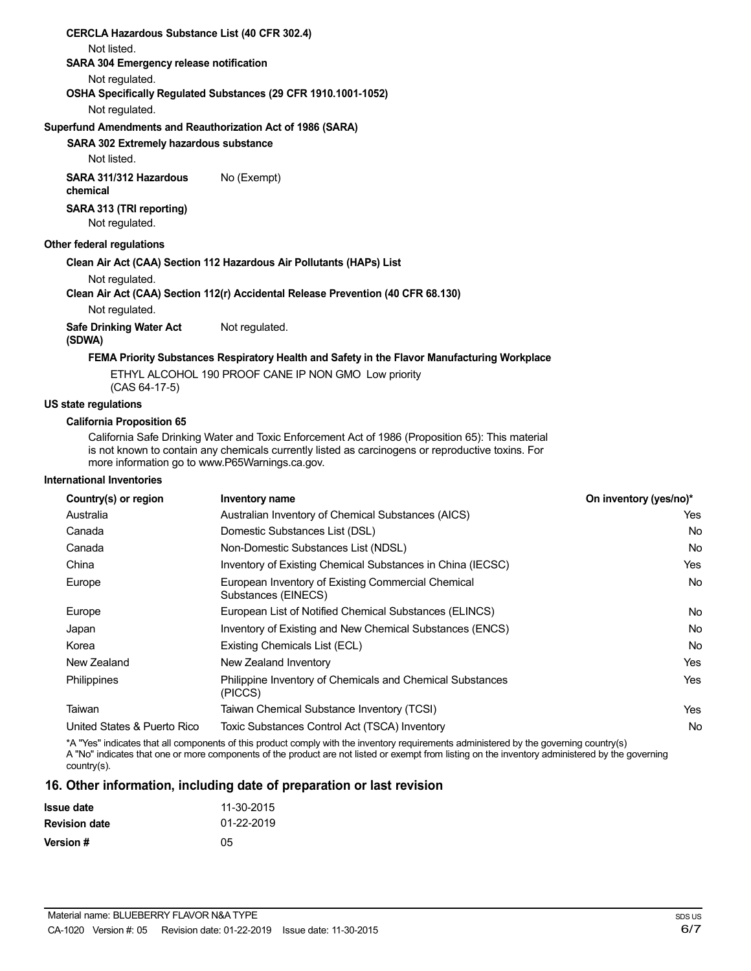| <b>CERCLA Hazardous Substance List (40 CFR 302.4)</b> |                                                                                                                                                     |
|-------------------------------------------------------|-----------------------------------------------------------------------------------------------------------------------------------------------------|
| Not listed.                                           |                                                                                                                                                     |
| <b>SARA 304 Emergency release notification</b>        |                                                                                                                                                     |
| Not regulated.                                        |                                                                                                                                                     |
|                                                       | OSHA Specifically Regulated Substances (29 CFR 1910.1001-1052)                                                                                      |
| Not regulated.                                        |                                                                                                                                                     |
|                                                       | Superfund Amendments and Reauthorization Act of 1986 (SARA)                                                                                         |
| SARA 302 Extremely hazardous substance                |                                                                                                                                                     |
| Not listed.                                           |                                                                                                                                                     |
| SARA 311/312 Hazardous<br>chemical                    | No (Exempt)                                                                                                                                         |
| SARA 313 (TRI reporting)<br>Not regulated.            |                                                                                                                                                     |
| <b>Other federal regulations</b>                      |                                                                                                                                                     |
|                                                       | Clean Air Act (CAA) Section 112 Hazardous Air Pollutants (HAPs) List                                                                                |
| Not regulated.                                        |                                                                                                                                                     |
|                                                       | Clean Air Act (CAA) Section 112(r) Accidental Release Prevention (40 CFR 68.130)                                                                    |
| Not regulated.                                        |                                                                                                                                                     |
| <b>Safe Drinking Water Act</b><br>(SDWA)              | Not regulated.                                                                                                                                      |
|                                                       | FEMA Priority Substances Respiratory Health and Safety in the Flavor Manufacturing Workplace                                                        |
| $(CAS 64-17-5)$                                       | ETHYL ALCOHOL 190 PROOF CANE IP NON GMO Low priority                                                                                                |
| <b>US state regulations</b>                           |                                                                                                                                                     |
| <b>California Proposition 65</b>                      |                                                                                                                                                     |
|                                                       | California Safe Drinking Water and Toxic Enforcement Act of 1986 (Proposition 65): This material                                                    |
|                                                       | is not known to contain any chemicals currently listed as carcinogens or reproductive toxins. For<br>more information go to www.P65Warnings.ca.gov. |

#### **International Inventories**

| Country(s) or region        | Inventory name                                                            | On inventory (yes/no)* |
|-----------------------------|---------------------------------------------------------------------------|------------------------|
| Australia                   | Australian Inventory of Chemical Substances (AICS)                        | Yes                    |
| Canada                      | Domestic Substances List (DSL)                                            | <b>No</b>              |
| Canada                      | Non-Domestic Substances List (NDSL)                                       | No                     |
| China                       | Inventory of Existing Chemical Substances in China (IECSC)                | <b>Yes</b>             |
| Europe                      | European Inventory of Existing Commercial Chemical<br>Substances (EINECS) | No                     |
| Europe                      | European List of Notified Chemical Substances (ELINCS)                    | No                     |
| Japan                       | Inventory of Existing and New Chemical Substances (ENCS)                  | No                     |
| Korea                       | Existing Chemicals List (ECL)                                             | <b>No</b>              |
| New Zealand                 | New Zealand Inventory                                                     | Yes                    |
| Philippines                 | Philippine Inventory of Chemicals and Chemical Substances<br>(PICCS)      | <b>Yes</b>             |
| Taiwan                      | Taiwan Chemical Substance Inventory (TCSI)                                | <b>Yes</b>             |
| United States & Puerto Rico | Toxic Substances Control Act (TSCA) Inventory                             | No                     |

\*A "Yes" indicates that all components of this product comply with the inventory requirements administered by the governing country(s) A "No" indicates that one or more components of the product are not listed or exempt from listing on the inventory administered by the governing country(s).

## **16. Other information, including date of preparation or last revision**

| <b>Issue date</b>    | 11-30-2015 |
|----------------------|------------|
| <b>Revision date</b> | 01-22-2019 |
| Version #            | 05         |